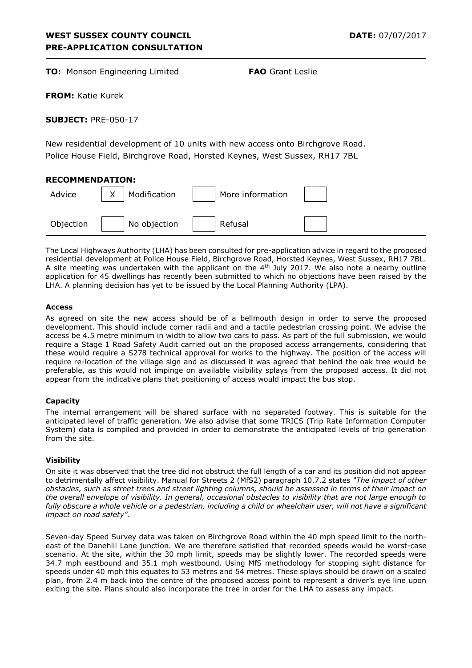**TO:** Monson Engineering Limited **FAO** Grant Leslie

**FROM:** Katie Kurek

**SUBJECT:** PRE-050-17

New residential development of 10 units with new access onto Birchgrove Road. Police House Field, Birchgrove Road, Horsted Keynes, West Sussex, RH17 7BL

## **RECOMMENDATION:**

| Advice    | Modification | More information |  |
|-----------|--------------|------------------|--|
| Objection | No objection | Refusal          |  |

The Local Highways Authority (LHA) has been consulted for pre-application advice in regard to the proposed residential development at Police House Field, Birchgrove Road, Horsted Keynes, West Sussex, RH17 7BL. A site meeting was undertaken with the applicant on the  $4<sup>th</sup>$  July 2017. We also note a nearby outline application for 45 dwellings has recently been submitted to which no objections have been raised by the LHA. A planning decision has yet to be issued by the Local Planning Authority (LPA).

#### **Access**

As agreed on site the new access should be of a bellmouth design in order to serve the proposed development. This should include corner radii and and a tactile pedestrian crossing point. We advise the access be 4.5 metre minimum in width to allow two cars to pass. As part of the full submission, we would require a Stage 1 Road Safety Audit carried out on the proposed access arrangements, considering that these would require a S278 technical approval for works to the highway. The position of the access will require re-location of the village sign and as discussed it was agreed that behind the oak tree would be preferable, as this would not impinge on available visibility splays from the proposed access. It did not appear from the indicative plans that positioning of access would impact the bus stop.

#### **Capacity**

The internal arrangement will be shared surface with no separated footway. This is suitable for the anticipated level of traffic generation. We also advise that some TRICS (Trip Rate Information Computer System) data is compiled and provided in order to demonstrate the anticipated levels of trip generation from the site.

#### **Visibility**

On site it was observed that the tree did not obstruct the full length of a car and its position did not appear to detrimentally affect visibility. Manual for Streets 2 (MfS2) paragraph 10.7.2 states *"The impact of other obstacles, such as street trees and street lighting columns, should be assessed in terms of their impact on the overall envelope of visibility. In general, occasional obstacles to visibility that are not large enough to*  fully obscure a whole vehicle or a pedestrian, including a child or wheelchair user, will not have a significant *impact on road safety".* 

Seven-day Speed Survey data was taken on Birchgrove Road within the 40 mph speed limit to the northeast of the Danehill Lane junction. We are therefore satisfied that recorded speeds would be worst-case scenario. At the site, within the 30 mph limit, speeds may be slightly lower. The recorded speeds were 34.7 mph eastbound and 35.1 mph westbound. Using MfS methodology for stopping sight distance for speeds under 40 mph this equates to 53 metres and 54 metres. These splays should be drawn on a scaled plan, from 2.4 m back into the centre of the proposed access point to represent a driver's eye line upon exiting the site. Plans should also incorporate the tree in order for the LHA to assess any impact.